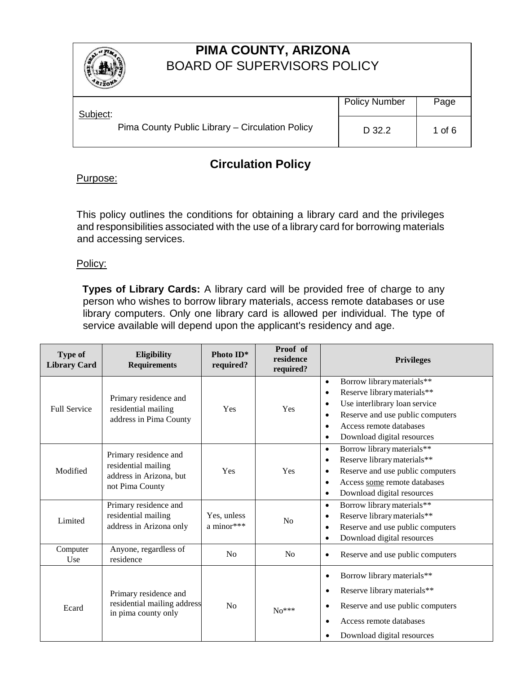

# **PIMA COUNTY, ARIZONA** BOARD OF SUPERVISORS POLICY

| 4120 <sub>k</sub>                               |                      |          |
|-------------------------------------------------|----------------------|----------|
| Subject:                                        | <b>Policy Number</b> | Page     |
| Pima County Public Library – Circulation Policy | D 32.2               | 1 of $6$ |

# **Circulation Policy**

## Purpose:

This policy outlines the conditions for obtaining a library card and the privileges and responsibilities associated with the use of a library card for borrowing materials and accessing services.

#### Policy:

**Types of Library Cards:** A library card will be provided free of charge to any person who wishes to borrow library materials, access remote databases or use library computers. Only one library card is allowed per individual. The type of service available will depend upon the applicant's residency and age.

| <b>Type of</b><br><b>Library Card</b> | Eligibility<br><b>Requirements</b>                                                         | Photo ID*<br>required?    | Proof of<br>residence<br>required? | <b>Privileges</b>                                                                                                                                                                                                                                                     |  |
|---------------------------------------|--------------------------------------------------------------------------------------------|---------------------------|------------------------------------|-----------------------------------------------------------------------------------------------------------------------------------------------------------------------------------------------------------------------------------------------------------------------|--|
| <b>Full Service</b>                   | Primary residence and<br>residential mailing<br>address in Pima County                     | Yes                       | Yes                                | Borrow library materials**<br>$\bullet$<br>Reserve library materials**<br>$\bullet$<br>Use interlibrary loan service<br>$\bullet$<br>Reserve and use public computers<br>$\bullet$<br>Access remote databases<br>$\bullet$<br>Download digital resources<br>$\bullet$ |  |
| Modified                              | Primary residence and<br>residential mailing<br>address in Arizona, but<br>not Pima County | Yes                       | Yes                                | Borrow library materials**<br>$\bullet$<br>Reserve library materials**<br>$\bullet$<br>Reserve and use public computers<br>$\bullet$<br>Access some remote databases<br>$\bullet$<br>Download digital resources<br>٠                                                  |  |
| Limited                               | Primary residence and<br>residential mailing<br>address in Arizona only                    | Yes, unless<br>a minor*** | No                                 | Borrow library materials**<br>$\bullet$<br>Reserve library materials**<br>$\bullet$<br>Reserve and use public computers<br>$\bullet$<br>Download digital resources<br>$\bullet$                                                                                       |  |
| Computer<br>Use                       | Anyone, regardless of<br>residence                                                         | No                        | N <sub>0</sub>                     | Reserve and use public computers<br>$\bullet$                                                                                                                                                                                                                         |  |
| Ecard                                 | Primary residence and<br>residential mailing address<br>in pima county only                | No                        | $No***$                            | Borrow library materials**<br>$\bullet$<br>Reserve library materials**<br>$\bullet$<br>Reserve and use public computers<br>$\bullet$<br>Access remote databases<br>$\bullet$<br>Download digital resources<br>٠                                                       |  |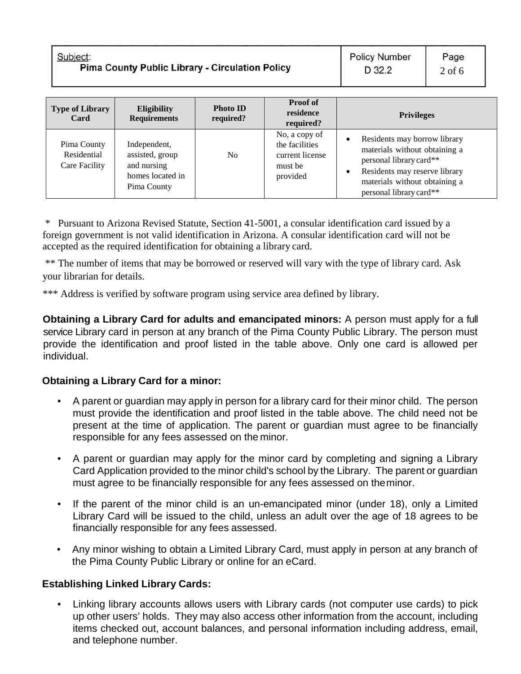| <b>Type of Library</b><br>Card              | <b>Eligibility</b><br><b>Requirements</b>                                         | <b>Photo ID</b><br>required? | <b>Proof of</b><br>residence<br>required?                                 | <b>Privileges</b>                                                                                                                                                                     |
|---------------------------------------------|-----------------------------------------------------------------------------------|------------------------------|---------------------------------------------------------------------------|---------------------------------------------------------------------------------------------------------------------------------------------------------------------------------------|
| Pima County<br>Residential<br>Care Facility | Independent,<br>assisted, group<br>and nursing<br>homes located in<br>Pima County | N <sub>o</sub>               | No, a copy of<br>the facilities<br>current license<br>must be<br>provided | Residents may borrow library<br>materials without obtaining a<br>personal library card**<br>Residents may reserve library<br>materials without obtaining a<br>personal library card** |

\* Pursuant to Arizona Revised Statute, Section 41-5001, a consular identification card issued by a foreign government is not valid identification in Arizona. A consular identification card will not be accepted as the required identification for obtaining a library card.

\*\* The number of items that may be borrowed or reserved will vary with the type of library card. Ask your librarian for details.

\*\*\* Address is verified by software program using service area defined by library.

**Obtaining a Library Card for adults and emancipated minors:** A person must apply for a full service Library card in person at any branch of the Pima County Public Library. The person must provide the identification and proof listed in the table above. Only one card is allowed per individual.

#### **Obtaining a Library Card for a minor:**

- A parent or guardian may apply in person for a library card for their minor child. The person must provide the identification and proof listed in the table above. The child need not be present at the time of application. The parent or guardian must agree to be financially responsible for any fees assessed on the minor.
- A parent or guardian may apply for the minor card by completing and signing a Library Card Application provided to the minor child's school by the Library. The parent or guardian must agree to be financially responsible for any fees assessed on theminor.
- If the parent of the minor child is an un-emancipated minor (under 18), only a Limited Library Card will be issued to the child, unless an adult over the age of 18 agrees to be financially responsible for any fees assessed.
- Any minor wishing to obtain a Limited Library Card, must apply in person at any branch of the Pima County Public Library or online for an eCard.

## **Establishing Linked Library Cards:**

• Linking library accounts allows users with Library cards (not computer use cards) to pick up other users' holds. They may also access other information from the account, including items checked out, account balances, and personal information including address, email, and telephone number.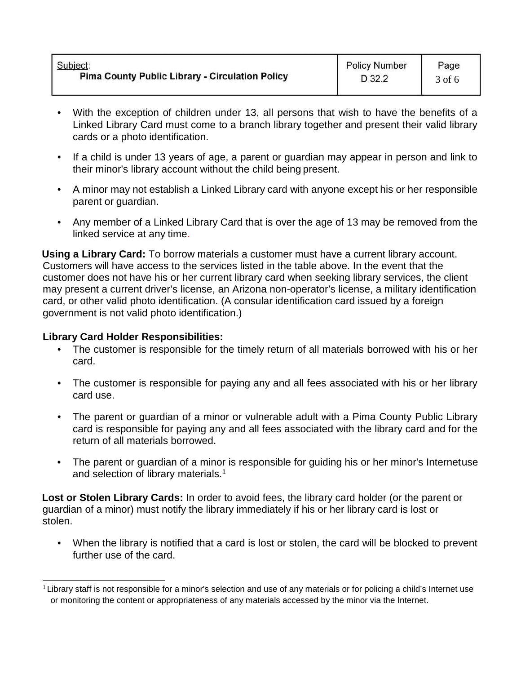| Subject:                                               | <b>Policy Number</b> | Page   |
|--------------------------------------------------------|----------------------|--------|
| <b>Pima County Public Library - Circulation Policy</b> | D 32.2               | 3 of 6 |

- With the exception of children under 13, all persons that wish to have the benefits of a Linked Library Card must come to a branch library together and present their valid library cards or a photo identification.
- If a child is under 13 years of age, a parent or guardian may appear in person and link to their minor's library account without the child being present.
- A minor may not establish a Linked Library card with anyone except his or her responsible parent or guardian.
- Any member of a Linked Library Card that is over the age of 13 may be removed from the linked service at any time.

**Using a Library Card:** To borrow materials a customer must have a current library account. Customers will have access to the services listed in the table above. In the event that the customer does not have his or her current library card when seeking library services, the client may present a current driver's license, an Arizona non-operator's license, a military identification card, or other valid photo identification. (A consular identification card issued by a foreign government is not valid photo identification.)

#### **Library Card Holder Responsibilities:**

- The customer is responsible for the timely return of all materials borrowed with his or her card.
- The customer is responsible for paying any and all fees associated with his or her library card use.
- The parent or guardian of a minor or vulnerable adult with a Pima County Public Library card is responsible for paying any and all fees associated with the library card and for the return of all materials borrowed.
- The parent or guardian of a minor is responsible for guiding his or her minor's Internetuse and selection of library materials.1

**Lost or Stolen Library Cards:** In order to avoid fees, the library card holder (or the parent or guardian of a minor) must notify the library immediately if his or her library card is lost or stolen.

• When the library is notified that a card is lost or stolen, the card will be blocked to prevent further use of the card.

 $1$  Library staff is not responsible for a minor's selection and use of any materials or for policing a child's Internet use or monitoring the content or appropriateness of any materials accessed by the minor via the Internet.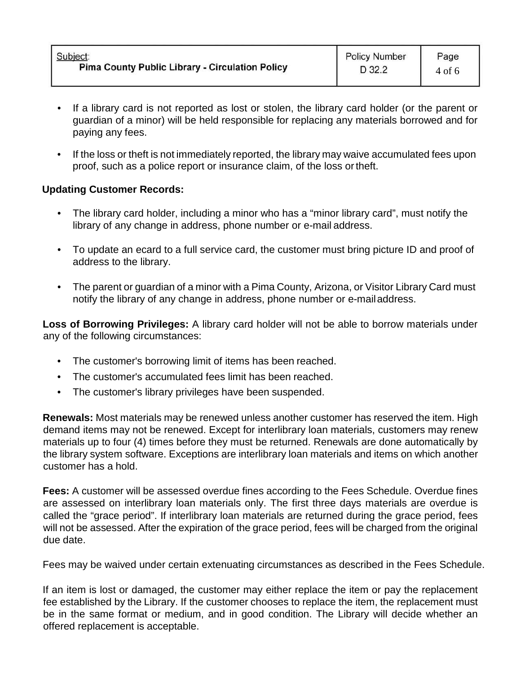| Page<br>$4$ of 6               |
|--------------------------------|
| <b>Policy Number</b><br>D 32.2 |

- If a library card is not reported as lost or stolen, the library card holder (or the parent or guardian of a minor) will be held responsible for replacing any materials borrowed and for paying any fees.
- If the loss or theft is not immediately reported, the library may waive accumulated fees upon proof, such as a police report or insurance claim, of the loss ortheft.

### **Updating Customer Records:**

- The library card holder, including a minor who has a "minor library card", must notify the library of any change in address, phone number or e-mail address.
- To update an ecard to a full service card, the customer must bring picture ID and proof of address to the library.
- The parent or guardian of a minor with a Pima County, Arizona, or Visitor Library Card must notify the library of any change in address, phone number or e-mailaddress.

**Loss of Borrowing Privileges:** A library card holder will not be able to borrow materials under any of the following circumstances:

- The customer's borrowing limit of items has been reached.
- The customer's accumulated fees limit has been reached.
- The customer's library privileges have been suspended.

**Renewals:** Most materials may be renewed unless another customer has reserved the item. High demand items may not be renewed. Except for interlibrary loan materials, customers may renew materials up to four (4) times before they must be returned. Renewals are done automatically by the library system software. Exceptions are interlibrary loan materials and items on which another customer has a hold.

**Fees:** A customer will be assessed overdue fines according to the Fees Schedule. Overdue fines are assessed on interlibrary loan materials only. The first three days materials are overdue is called the "grace period". If interlibrary loan materials are returned during the grace period, fees will not be assessed. After the expiration of the grace period, fees will be charged from the original due date.

Fees may be waived under certain extenuating circumstances as described in the Fees Schedule.

If an item is lost or damaged, the customer may either replace the item or pay the replacement fee established by the Library. If the customer chooses to replace the item, the replacement must be in the same format or medium, and in good condition. The Library will decide whether an offered replacement is acceptable.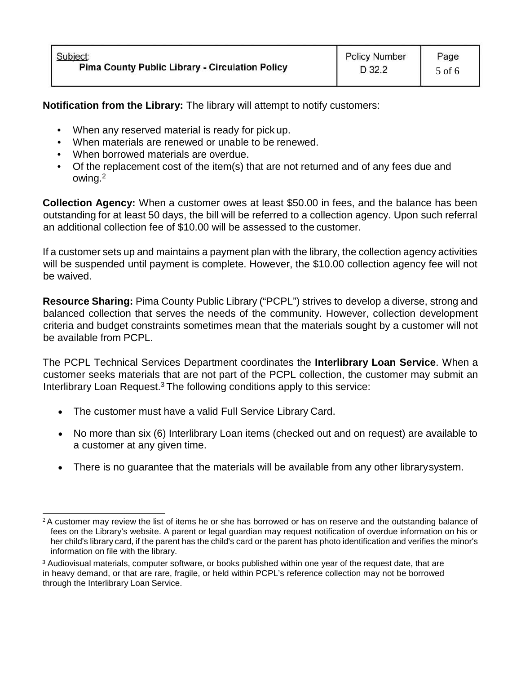**Notification from the Library:** The library will attempt to notify customers:

- When any reserved material is ready for pick up.
- When materials are renewed or unable to be renewed.
- When borrowed materials are overdue.
- Of the replacement cost of the item(s) that are not returned and of any fees due and owing.2

**Collection Agency:** When a customer owes at least \$50.00 in fees, and the balance has been outstanding for at least 50 days, the bill will be referred to a collection agency. Upon such referral an additional collection fee of \$10.00 will be assessed to the customer.

If a customer sets up and maintains a payment plan with the library, the collection agency activities will be suspended until payment is complete. However, the \$10.00 collection agency fee will not be waived.

**Resource Sharing:** Pima County Public Library ("PCPL") strives to develop a diverse, strong and balanced collection that serves the needs of the community. However, collection development criteria and budget constraints sometimes mean that the materials sought by a customer will not be available from PCPL.

The PCPL Technical Services Department coordinates the **Interlibrary Loan Service**. When a customer seeks materials that are not part of the PCPL collection, the customer may submit an Interlibrary Loan Request.3 The following conditions apply to this service:

- The customer must have a valid Full Service Library Card.
- No more than six (6) Interlibrary Loan items (checked out and on request) are available to a customer at any given time.
- There is no guarantee that the materials will be available from any other librarysystem.

 $2A$  customer may review the list of items he or she has borrowed or has on reserve and the outstanding balance of fees on the Library's website. A parent or legal guardian may request notification of overdue information on his or her child's library card, if the parent has the child's card or the parent has photo identification and verifies the minor's information on file with the library.

<sup>3</sup> Audiovisual materials, computer software, or books published within one year of the request date, that are in heavy demand, or that are rare, fragile, or held within PCPL's reference collection may not be borrowed through the Interlibrary Loan Service.